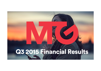# Q3 2015 Financial Results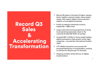## Record Q3 Sales &Accelerating Transformation

- • Record Q3 sales on the back of higher viewing levels, healthy customer intake, rising market shares, 42% organic digital revenue growth + addition of new digital businesses
- • Profits up despite substantial currency headwinds + M&A costs
- • Large scale restructuring programme to bring local operating businesses closer to the customer & yield SEK 600m of savings
- • Invested SEK 1.2 billion in three market leading digital businesses in high growth online video categories + secured key international football rights
- • CTC Media transaction announced with proposed distribution to shareholders; working on solution for Russian pay-TV channels
- • Ongoing portfolio review & focus on digital transformation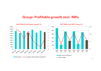### Group: Profitable growth excl. NRIs



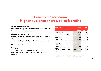## Free-TV ScandinaviaHigher audience shares, sales & profits

#### Record audience shares

All 3 countries reported higher ratings & TV3 up in all 3 countries for first time since 1999!

#### Sales up at constant FX

Higher sales in Dk, slightly lower sales in Se & lower sales in No.

TV ad market estimated up in No & Dk, down in Se

AVOD sales up 52%

#### Profits up

OPEX stable despite negative USD impact Balanced programming investments & savings in other areas

| 23% of Group sales      | 2015           | 2014    |
|-------------------------|----------------|---------|
|                         | <b>Jul-Sep</b> | Jul-Sep |
| Sales (SEKm)            | 903            | 900     |
| Growth (at constant FX) | 1%             | -1%     |
| EBIT (SEKm)             | 123            | 120     |
| <b>EBIT</b> margin      | 13.6%          | 13.3%   |
| CSOV (15-49)            |                |         |
| Sweden                  | 32.8%          | 31.0%   |
| Norway*                 | 17.4%          | 16.0%   |
| Denmark**               | 26.3%          | 25.1%   |

\*The Norwegian universe has expanded from Q2 2015 to include TV2 Humor \*\* The Danish universe has expanded from Q1 2015 to include TV2 Sport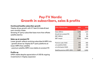## Pay-TV Nordic Growth in subscribers, sales & profits

#### Continued healthy subscriber growth

Viaplay drives growth with 3rd best Q intake & best ever monthly intake

Growing 3rd party subscriber base more than offsets satellite decline

#### Sales up at constant FX

Lower growth reflects evolving subscriber & ARPU mix - growth driven by Viaplay & 3rd party platforms at lower ARPU than satellite

- premium satellite ARPU now stable at constant FX

#### Profits up

OPEX stable despite appreciation of USD & ongoing investments in Viaplay expansion

| 37% of Group sales           | 2015           | 2014           |
|------------------------------|----------------|----------------|
|                              | <b>Jul-Sep</b> | <b>Jul-Sep</b> |
| Sales (SEKm)                 | 1,448          | 1,441          |
| Growth (at constant FX)      | $1\%$          | 8%             |
| EBIT (SEKm)                  | 189            | 186            |
| <b>EBIT</b> margin           | 13.0%          | 12.9%          |
| Premium subs ('000)          | 972            | 969            |
| o/w satellite ('000)         | 503            | 535            |
| o/w third party ('000)       | 469            | 434            |
| Satellite premium ARPU (SEK) | 5,257          | 5,302          |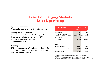### Free-TV Emerging Markets Sales & profits up

#### Higher audience shares

Target audience shares up in 5 out of 6 markets

#### Sales up 9% at constant FX

Driven by 33% combined on & offline growth in Bulgaria and market share gains in the 4 TV ad markets estimated to have grown Online sales up 32%

#### Profits up

OPEX down at constant FX following savings in Cz and Baltics - segment losses substantially reduced in seasonally weakest sales Q

| 13% of Group sales      | 2015<br><b>Jul-Sep</b> | 2014<br>Jul-Sep |
|-------------------------|------------------------|-----------------|
| Sales (SEKm)            | 522                    | 463             |
| Growth (at constant FX) | 9%                     | -1%             |
| EBIT (SEKm)             | -13                    | -57             |
| <b>EBIT</b> margin      | $-2.4%$                | $-12.4%$        |
| CSOV                    |                        |                 |
| Pan-Baltic (15-49)      | 48.1%                  | 47.9%           |
| Czech Republic (15-54)* | 35.7%                  | 35.6%           |
| Bulgaria (18-49)**      | 40.6%                  | 35.9%           |

\*The Czech universe has expanded from Q3 2015 to include three new Barrandov channels

\* \*The source for Bulgarian audience data has been changed as of Q4 2014 from GARB to Nielsen's Mediaresearch, which is a well-established international data source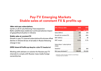## Pay-TV Emerging Markets Stable sales at constant FX & profits up

#### 138m mini-pay subscriptions

Up 8m y/y & 1m q/q following Trace expansion Baltic satellite base stable but continued adverse impact of geopolitical situation in Ukraine

#### Stable sales at constant FX

Growth in pay-TV channel subscriptions & volumes offset decline in Ukraine & loss of ad sales in Russia following change in law

#### OPEX down & Profits up despite ruble FX headwind

Working with advisers on solution for Russian pay-TV channels to comply with Russian mass media foreign ownership law

| <b>8% of Group sales</b>             | 2015           | 2014           |
|--------------------------------------|----------------|----------------|
|                                      | <b>Jul-Sep</b> | <b>Jul-Sep</b> |
| Sales (SEKm)                         | 297            | 333            |
| Growth (at constant FX)              | $0\%$          | 25%            |
| EBIT (SEKm)                          | 41             | 39             |
| <b>EBIT</b> margin                   | 13.9%          | 11.7%          |
| Subscribers / subscriptions<br>(000) |                |                |
| Satellite*                           | 270            | 326            |
| Mini-pay wholesale**                 | 138,403        | 130,559        |

\* Subscriber numbers have been restated to exclude Raduga \*\* Including Trace from Q3 2014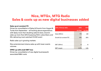## Nice, MTGx, MTG Radio Sales & costs up as new digital businesses added

#### Sales up at constant FX

Driven by consolidation of Splay & Zoomin from August & Turtle from September – all tracking above expectations with Splay more than doubling sales & views; Zoomin sales up more than 60% & passing 100m subscribers; and ESL delivering most watched CS:GO event

Radio sales up in growing markets

Nice entertainment drama sales up with lower events volumes

#### OPEX up with small EBIT loss

Driven by consolidation of new digital businesses & associated M&A costs

| 20% of Group sales      | 2015           | 2014           |
|-------------------------|----------------|----------------|
|                         | <b>Jul-Sep</b> | <b>Jul-Sep</b> |
| Sales (SEKm)            | 773            | 681            |
| Growth (at constant FX) | 14%            | 82%            |
|                         |                |                |
| EBIT (SEKm)             |                | 12             |
| <b>EBIT</b> margin      | $-0.7%$        | 1.8%           |